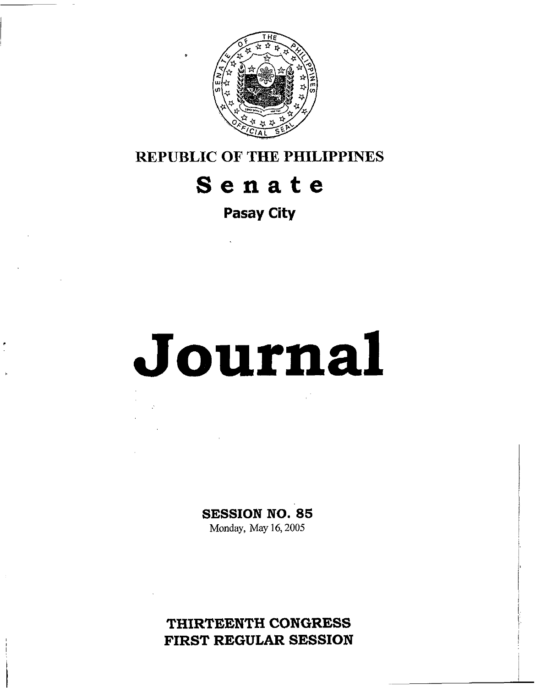

**REPUBLIC OF THE PHILIPPINES** 

## **Senate**

**Pasay City** 

# **Journal**

**SESSION NO.** *85* 

Monday, May 16,2005

**THIRTEENTH CONGRESS FIRST REGULAR SESSION**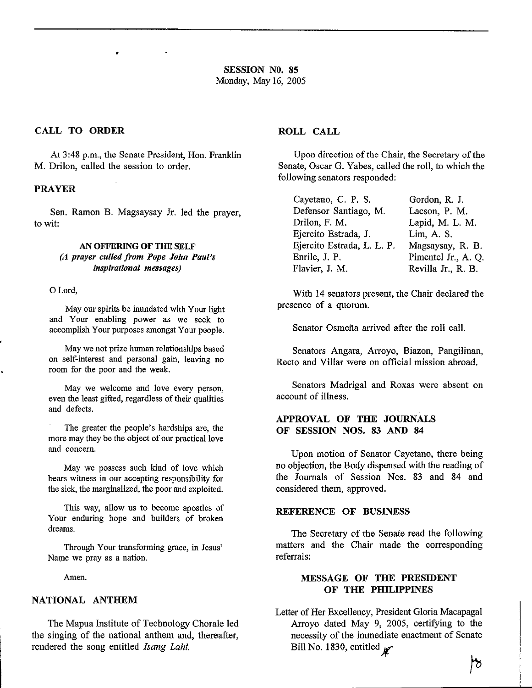#### **CALL TO ORDER ROLL CALL**

At **3:48** p.m., the Senate President, Hon. Franklin M. Drilon, called the session to order.

#### **PRAYER**

Sen. Ramon B. Magsaysay Jr. led the prayer, to wit:

#### *AN* **OFFERING OF THE SELF**  *(A prayer culled from Pope John Paul's inspirational messages)*

0 Lord,

May our spirits be inundated with Your light and Your enabling power as we seek to accomplish Your purposes amongst Your people.

May we not prize human relationships based on self-interest and personal gain, leaving no room for the poor and the weak.

May we welcome and love every person, even the least gifted, regardless of their qualities and defects.

The greater the people's hardships are, the more may they be the object of our practical love and concern.

May we possess such kind of love which bears witness in our accepting responsibility for the sick, the marginalized, the poor and exploited.

This way, allow us to become apostles of Your enduring hope and builders of broken dreams.

Through Your transforming grace, in Jesus' Name we pray as a nation.

Amen.

#### **NATIONAL ANTHEM**

The Mapua Institute of Technology Chorale led the singing of the national anthem and, thereafter, rendered the song entitled *Isung Lahi.* 

Upon direction of the Chair, the Secretary of the Senate, Oscar G. Yabes, called the roll, to which the following senators responded:

| Cayetano, C. P. S.         | Gordon, R. J.       |
|----------------------------|---------------------|
| Defensor Santiago, M.      | Lacson, P. M.       |
| Drilon, F. M.              | Lapid, M. L. M.     |
| Ejercito Estrada, J.       | Lim, A. S.          |
| Ejercito Estrada, L. L. P. | Magsaysay, R. B.    |
| Enrile, J. P.              | Pimentel Jr., A. Q. |
| Flavier, J. M.             | Revilla Jr., R. B.  |

With 14 senators present, the Chair declared the presence of a quorum.

Senator Osmefia arrived after the roll call.

Senators Angara, Arroyo, Biazon, Pangilinan, Recto and Villar were on official mission abroad.

Senators Madrigal and Roxas were absent on account of illness.

#### **APPROVAL OF THE JOURNALS OF SESSION NOS. 83 AND 84**

Upon motion of Senator Cayetano, there being no objection, the Body dispensed with the reading of the Journals of Session Nos. 83 and 84 and considered them, approved.

#### **REFERENCE OF BUSINESS**

The Secretary of the Senate read the following matters and the Chair made the corresponding referrals:

### **MESSAGE OF THE PRESIDENT OF THE PHILIPPINES**

Letter of Her Excellency, President Gloria Macapagal Arroyo dated May 9, 2005, certifying to the necessity of the immediate enactment of Senate Bill No. 1830, entitled  $\mathbb{R}^2$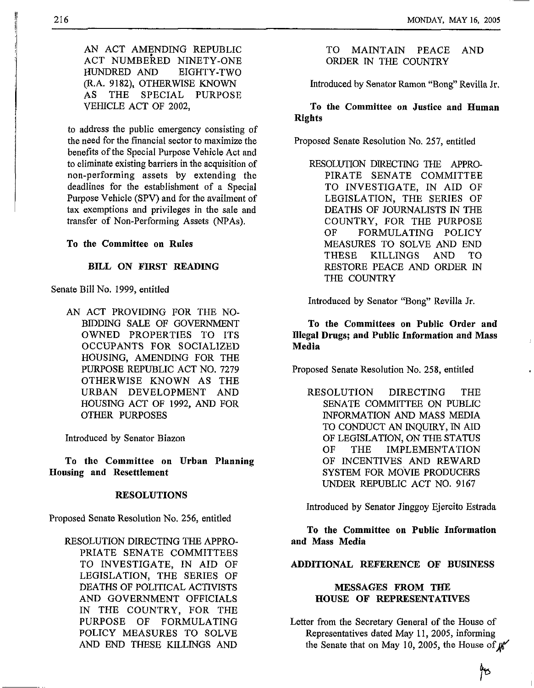AN ACT AMENDING REPUBLIC HUNDRED AND EIGHTY-TWO (R.A. 9182), OTHERWISE KNOWN AS THE SPECIAL PURPOSE VEHICLE ACT OF 2002, ACT NUMBEKED NINETY-ONE

to address the public emergency consisting of the need for the financial sector to maximize the benefits of the Special Purpose Vehicle Act and to eliminate existing barriers in the acquisition of non-performing assets by extending the deadlines for the establishment of a Special Purpose Vehicle (SPV) and for the availment of tax exemptions and privileges in the sale and transfer of Non-Performing Assets (NPAs).

**To the Committee on Rules** 

#### **BILL ON FIRST READING**

Senate Bill No. 1999, entitled

AN ACT PROVIDING FOR THE NO-BIDDING SALE OF GOVERNMENT OWNED PROPERTIES TO ITS OCCUPANTS FOR SOCIALIZED HOUSING, AMENDING FOR THE PURPOSE REPUBLIC ACT NO. 7279 OTHERWISE KNOWN AS THE URBAN DEVELOPMENT AND HOUSING ACT OF 1992, AND FOR OTHER PURPOSES

Introduced by Senator Biazon

**To the Committee on Urban Planning Housing and Resettlement** 

#### **RESOLUTIONS**

Proposed Senate Resolution No. 256, entitled

RESOLUTION DIRECTING THE APPRO-PRIATE SENATE COMMITTEES TO INVESTIGATE, IN AID OF LEGISLATION, THE SERIES OF DEATHS OF POLITICAL ACTIVISTS AND GOVERNMENT OFFICIALS IN THE COUNTRY, FOR THE PURPOSE OF FORMULATING POLICY MEASURES TO SOLVE AND END THESE KILLINGS AND

TO MAINTAIN PEACE AND ORDER IN THE COUNTRY

Introduced by Senator Ramon "Bong" Revilla Jr.

**To the Committee on Justice and Human Rights** 

Proposed Senate Resolution No. 257, entitled

RESOLUTION DIRECTING THE APPRO-PIRATE SENATE COMMITTEE TO INVESTIGATE, IN AID OF LEGISLATION, THE SERIES OF DEATHS OF JOURNALISTS IN THE COUNTRY, FOR THE PURPOSE OF FORMULATING POLICY MEASURES TO SOLVE AND END THESE KILLINGS AND TO RESTORE PEACE AND ORDER IN THE COUNTRY

Introduced by Senator "Bong" Revilla Jr.

**To the Committees on Public Order and Illegal Drugs; and Public Information and Mass Media** 

Proposed Senate Resolution No. 258, entitled

RESOLUTION DIRECTING THE SENATE COMMITTEE ON PUBLIC INFORMATION AND MASS MEDIA TO CONDUCT *AN* INQUIRY, IN AID OF LEGISLATION, ON THE STATUS OF THE IMPLEMENTATION OF INCENTIVES AND REWARD SYSTEM FOR MOVIE PRODUCERS UNDER REPUBLIC ACT NO. 9167

Introduced by Senator Jinggoy Ejercito Estrada

**To the Committee on Public Information and Mass Media** 

#### **ADDITIONAL REFERENCE OF BUSINESS**

#### **MESSAGES FROM THE HOUSE OF REPRESENTATIVES**

Letter from the Secretary General of the House of Representatives dated May 11, 2005, informing the Senate that on May 10, 2005, the House of  $\mu^*$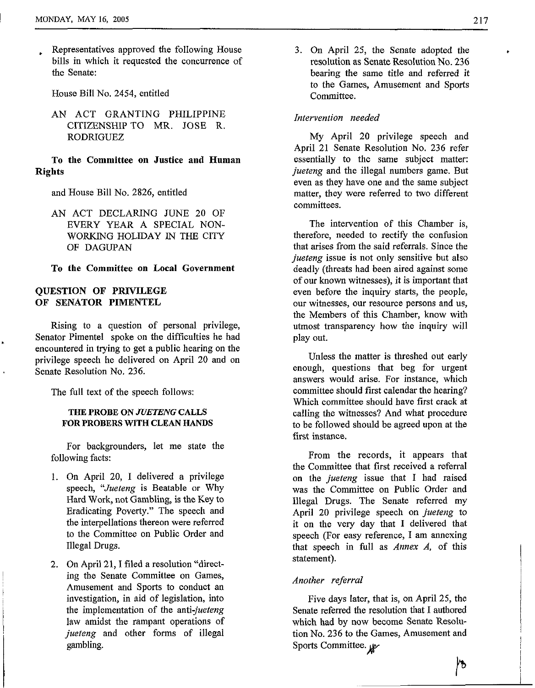, Representatives approved the following House bills in which it requested the concurrence of the Senate:

House Bill No. 2454, entitled

AN ACT GRANTING PHILIPPINE CITIZENSHIP TO MR. JOSE R. RODRIGUEZ

#### To the Committee on Justice and Human Rights

and House Bill No. 2826, entitled

AN ACT DECLARING JUNE 20 OF WORKING HOLIDAY IN THE CITY OF DAGUPAN EVERY YEAR A SPECIAL NON-

To the Committee on Local Government

#### QUESTION **OF** PRIVILEGE **OF** SENATOR PIMENTEL

Rising to a question of personal privilege, Senator Pimentel spoke on the difficulties he had encountered in trying to get a public hearing on the privilege speech he delivered on April 20 and on Senate Resolution No. 236.

The full text of the speech follows:

#### **THE PROBE ON** *JVETENG* **CALLS**  FOR PROBERS WITH CLEAN HANDS

For backgrounders, let me state the following facts:

- 1. On April 20, I delivered a privilege speech, "Jueteng is Beatable or Why Hard Work, not Gambling, is the Key to Eradicating Poverty." The speech and the interpellations thereon were referred to the Committee on Public Order and Illegal Drugs.
- 2. On April 21, I filed a resolution "directing the Senate Committee on Games, Amusement and Sports to conduct an investigation, in aid of legislation, into the implementation of the anti-jueteng law amidst the rampant operations of jueteng and other forms of illegal gambling.

**3.** On April 25, the Senate adopted the resolution as Senate Resolution No. 236 bearing the same title and referred it to the Games, Amusement and Sports Committee.

#### Intervention needed

My April 20 privilege speech and April 21 Senate Resolution No. 236 refer essentially to the same subject matter: jueteng and the illegal numbers game. But even as they have one and the same subject matter, they were referred to two different committees.

The intervention of this Chamber is, therefore, needed to rectify the confusion that arises from the said referrals. Since the jueteng issue is not only sensitive but also deadly (threats had been aired against some of our known witnesses), it is important that even before the inquiry starts, the people, our witnesses, our resource persons and us, the Members of this Chamber, know with utmost transparency how the inquiry will play out.

Unless the matter is threshed out early enough, questions that beg for urgent answers would arise. For instance, which committee should first calendar the hearing? Which committee should have first crack at calling the witnesses? And what procedure to be followed should be agreed upon at the first instance.

From the records, it appears that the Committee that first received a referral on the jueteng issue that I had raised was the Committee on Public Order and Illegal Drugs. The Senate referred my April 20 privilege speech on *jueteng* to it on the very day that **I** delivered that speech (For easy reference, I am annexing that speech in full as Annex *A,* of this statement).

#### *Another* referral

Five days later, that is, on April 25, the Senate referred the resolution that I authored which had by now become Senate Resolution No. 236 to the Games, Amusement and Sports Committee.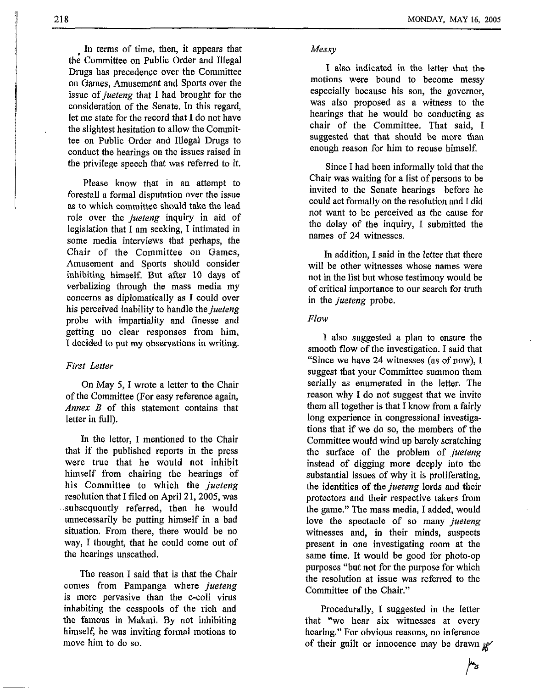In terms of time, then, it appears that the Committee on Public Order and Illegal Drugs has precedence over the Committee on Games, Amusement and Sports over the issue of *jueteng* that I had brought for the consideration of the Senate. In this regard, let me state for the record that I do not have the slightest hesitation to allow the Committee on Public Order and Illegal Drugs to conduct the hearings on the issues raised in the privilege speech that was referred to it.

Please know that in an attempt to forestall a formal disputation over the issue as to which committee should take the lead role over the *jueteng* inquiry in aid of legislation that I am seeking, I intimated in some media interviews that perhaps, the Chair of the Committee on Games, Amusement and Sports should consider inhibiting himself. But after 10 days of verbalizing through the mass media my concerns as diplomatically as I could over his perceived inability to handle *thejueteng*  probe with impartiality and finesse and getting no clear responses from him, I decided to put my observations in writing.

#### *First Letter*

On May *5,* **I** wrote a letter to the Chair of the Committee (For easy reference again, *Annex B* of this statement contains that letter in full).

In the letter, I mentioned to the Chair that if the published reports in the press were true that he would not inhibit himself from chairing the hearings of his Committee to which the *jueteng*  resolution that I filed on April 21,2005, was subsequently referred, then he would unnecessarily be putting himself in a bad situation. From there, there would be no way, I thought, that he could come out of the hearings unscathed.

The reason I said that is that the Chair comes from Pampanga where *jueteng*  is more pervasive than the e-coli virus inhabiting the cesspools of the rich and the famous in Makati. By not inhibiting himself, he was inviting formal motions to move him to do so.

#### *Messy*

I also indicated in the letter that the motions were bound to become messy especially because his son, the governor, was also proposed as a witness to the hearings that he would be conducting as chair of the Committee. That said, I suggested that that should he more than enough reason for him to recuse himself.

Since I had been informally told that the Chair was waiting for a list of persons to be invited to the Senate hearings before he could act formally on the resolution and I did not want to be perceived as the cause for the delay of the inquiry, I submitted the names of 24 witnesses.

In addition, I said in the letter that there will be other witnesses whose names were not in the list but whose testimony would be of critical importance to our search for truth in the *jueteng* probe.

#### *Flow*

**I** also suggested a plan to ensure the smooth flow of the investigation. I said that "Since we have 24 witnesses (as of now), I suggest that your Committee summon them serially as enumerated in the letter. The reason why I do not suggest that we invite them all together is that I know from a fairly long experience in congressional investigations that if we do so, the members of the Committee would wind up barely scratching the surface of the problem of *jueteng*  instead of digging more deeply into the substantial issues of why it is proliferating, the identities of the *jueteng* lords and their protectors and their respective takers from the game." The mass media, I added, would love the spectacle of so many *jueteng*  witnesses and, in their minds, suspects present in one investigating room at the same time. It would be good for photo-op purposes "but not for the purpose for which the resolution at issue was referred to the Committee of the Chair."

Procedurally, I suggested in the letter that "we hear six witnesses at every hearing." For obvious reasons, no inference of their guilt or innocence may be drawn  $\mu$ 

 $\mu_{\mathbf{\hat{z}}}$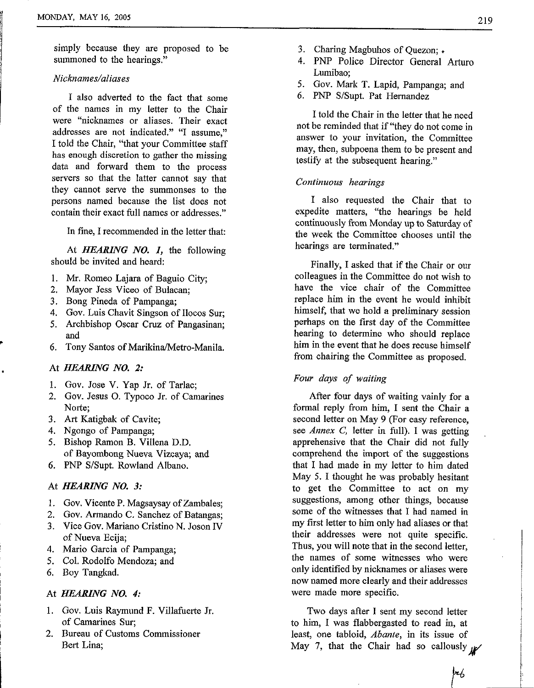simply because they are proposed to be summoned to the hearings."

#### *Nicknames/aliases*

I also adverted to the fact that some of the names in my letter to the Chair were "nicknames or aliases. Their exact addresses are not indicated." "I assume," I told the Chair, "that your Committee staff has enough discretion to gather the missing data and forward them to the process servers so that the latter cannot say that they cannot serve the summonses to the persons named because the list does not contain their exact full names or addresses."

In fine, **I** recommended in the letter that:

At *HEARING NO. I,* the following should be invited and heard:

- 1. Mr. Romeo Lajara of Baguio City;
- 2. Mayor Jess Viceo of Bulacan;
- **3.** Bong Pineda of Pampanga;
- 4. Gov. Luis Chavit Singson of Ilocos Sur;
- 5. Archbishop Oscar Cruz of Pangasinan; and
- 6. Tony Santos of Marikina/Metro-Manila.

### At *HEARING NO. 2:*

**L** 

I

- 1. Gov. Jose V. Yap Jr. of Tarlac;
- 2. Gov. Jesus 0. Typoco Jr. of Camarines Norte:
- **3. Art** Katigbak of Cavite;
- 4. Ngongo of Pampanga;
- 5. Bishop Ramon B. Villena D.D. of Bayombong Nueva Vizcaya; and
- *6.* PNP S/Supt. Rowland Albano.

#### At *HEARING NO. 3:*

- 1. Gov. Vicente P. Magsaysay of Zambales;
- 2. Gov. Armando C. Sanchez of Batangas;
- **3.** Vice Gov. Mariano Cristino N. Joson IV of Nueva Ecija;
- 4. Mario Garcia of Pampanga;
- 5. Col. Rodolfo Mendoza; and
- 6. Boy Tangkad.

#### <sup>I</sup>At *HEARING NO. 4:*

- 1. Gov. Luis Raymund F. Villafuerte Jr. of Camarines Sur;
- Bert Lina: **2.** Bureau of Customs Commissioner
- 
- **3.** Charing Magbuhos of Quezon; . 4. PNP Police Director General Arturo Lumibao;
- 5. Gov. Mark T. Lapid, Pampanga; and
- 6. PNP S/Supt. Pat Hernandez

I told the Chair in the letter that he need not be reminded that if "they do not come in answer to your invitation, the Committee may, then, subpoena them to be present and testify at the subsequent hearing."

#### *Continuous hearings*

I also requested the Chair that to expedite matters, "the hearings he held continuously from Monday up to Saturday of the week the Committee chooses until the hearings are terminated."

Finally, I asked that if the Chair or our colleagues in the Committee do not wish to have the vice chair of the Committee replace him in the event he would inhibit himself, that **we** hold a preliminary session perhaps on **the** first day of the Committee hearing to determine who should replace him in the event that he does recuse himself from chairing the Committee as proposed.

#### *Four days of waiting*

After four days of waiting vainly for a formal reply from him, I sent the Chair a second letter on May 9 (For easy reference, *see Annex C,* letter in full). I was getting apprehensive that the Chair did not fully comprehend the import of the suggestions that I had made in my letter to him dated May 5. I thought he was probably hesitant to get the Committee to act on my suggestions, among other things, because some of the witnesses that I had named in my first letter to him only had aliases or that their addresses were not quite specific. Thus, you will note that in the second letter, the names of some witnesses who were only identified by nicknames or aliases were now named more clearly and their addresses were made more specific.

Two days after I sent my second letter to him, I was flabbergasted to read in, at least, one tabloid, *Abante,* in its issue of May 7, that the Chair had so callously  $\mathcal{U}$ 

ļrb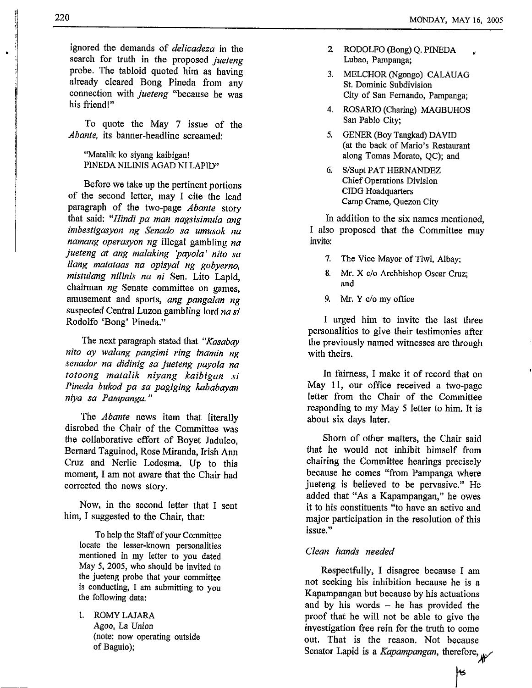ignored the demands of *delicadeza* in the search for truth in the proposed *jueteng*  probe. The tabloid quoted him as having already cleared Bong Pineda from any connection with *jueteng* "because he was his friend!"

To quote the May **7** issue of the *Abante*, its banner-headline screamed:

"Matalik ko siyang kaibigan! PINEDA NILINIS AGAD NI LAPID"

Before we take up the pertinent portions of the second letter, may I cite the lead paragraph of the two-page *Abante* story that said: *"Hindi pa man nagsisimula ang imbestigasyon ng Senado sa umusok na namang operasyon ng* illegal gambling *na jueteng at ang malaking 'payola' nit0 sa ilang matataas na opisyal ng gobyerno,*  mistulang nilinis na ni Sen. Lito Lapid, chairman *ng* Senate committee on games, amusement and sports, *ang pangalan ng*  suspected Central Luzon gambling Iord *nasi*  Rodolfo 'Bong' Pineda."

The next paragraph stated that *"Kasabay nito ay walang pangimi ring inamin ng senador na didinig sa jueteng payola na totoong matalik niyang kaibigan si Pineda bukod pa sa pagiging kababayan niya sa Pampanga.* **I'** 

The *Abante* news item that literally disrobed the Chair of the Committee was the collaborative effort of Boyet Jadulco, Bernard Taguinod, Rose Miranda, Irish Ann Cruz and Nerlie Ledesma. Up to this moment, **I** am not aware that the Chair had corrected the news story.

Now, in the second letter that **I** sent him, I suggested to the Chair, that:

To help the Staff of your Committee locate the lesser-known personalities mentioned in my letter to you dated May *5,* 2005, who should be invited to the jueteng probe that your committee **is** conducting, I **am** submitting to you the following data:

1. ROMYLAJARA Agoo, La Union (note: now operating outside of Baguio);

- **2.** RODOLFO (Bong) Q. PINEDA , Lubao, Pampanga;
- **3.** MELCHOR (Ngongo) CALAUAG **St.** Dominic Subdivision City of San Fernando, Pampanga;
- **4.** ROSARIO (Charing) MAGBUHOS San Pablo City;
- 5. GENER (Boy Tangkad) DAVID (at the back of Mario's Restaurant along Tomas Morato, QC); and
- *6.* S/Supt PAT HERNANDEZ Chief Operations Division CIDG Headquarters Camp Crame, Quezon City

In addition to the six names mentioned, I also proposed that the Committee may invite:

- **7.**  The Vice Mayor of Tiwi, Albay;
- *8.*  **Mr.** X c/o Archbishop Oscar Cruz; and
- *9.*  **Mr.** *Y* c/o my office

I urged him to invite the last three personalities to give their testimonies after **the** previously named witnesses are through with theirs.

In fairness, I make it of record that on May **11,** our office received a two-page letter from the Chair of the Committee responding to my May *5* letter to him. It is about six days later.

Shorn of other matters, the Chair said that he would not inhibit himself from chairing the Committee hearings precisely because he comes "from Pampanga where jueteng is believed to be pervasive." He added that **"As** a Kapampangan," he owes it to his constituents "to have an active and major participation in the resolution of this issue."

#### *Clean hands needed*

Respectfully, **I** disagree because I **am**  not seeking his inhibition because he is a Kapampangan but because by his actuations and by his words - he has provided the proof that he will not be able to give the investigation free rein for **the** truth to come out. That is the reason. Not because Senator Lapid is a *Kapampangan*, therefore,

ŀВ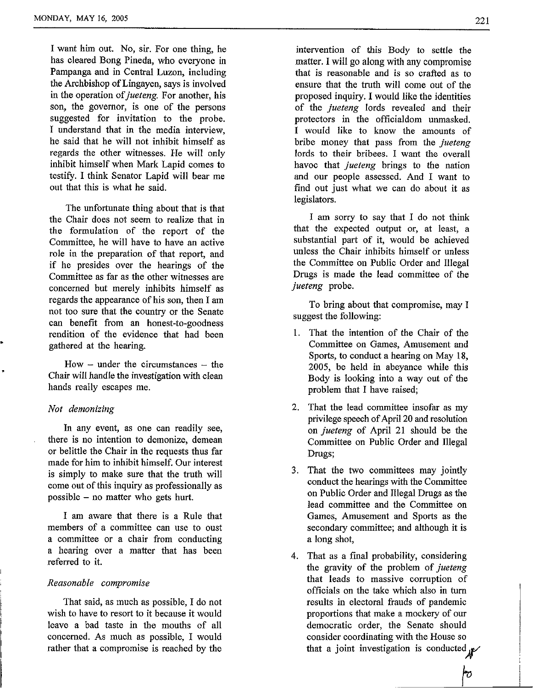**I** want him out. No, sir. For one thing, he has cleared Bong Pineda, who everyone in Pampanga and in Central Luzon, including the Archbishop of Lingayen, says is involved in the operation of *jueteng*. For another, his son, the governor, is one of the persons suggested for invitation to the probe. **I** understand that in the media interview, he said that he will not inhibit himself as regards the other witnesses. He will only inhibit himself when Mark Lapid comes to testify. I think Senator Lapid will bear me out that this is what he said.

The unfortunate thing about that is that the Chair does not seem to realize that in the formulation of the report of the Committee, he will have to have an active role in the preparation of that report, and if he presides over the hearings of the Committee as far as the other witnesses are concerned but merely inhibits himself as regards the appearance of his son, then I am not too sure that the country or the Senate can benefit from an honest-to-goodness rendition of the evidence that had been gathered at the hearing.

 $How - under the circumstances - the$ Chair will handle the investigation with clean hands really escapes me.

#### *Not demonizing*

In any event, as one can readily see, there is no intention to demonize, demean or belittle the Chair in the requests thus far made for him to inhibit himself. Our interest is simply to make sure that the truth will come out of this inquiry as professionally as possible  $-$  no matter who gets hurt.

I am aware that there is a Rule that members of a committee can use to oust a committee or a chair from conducting a hearing over a matter that has been referred to it.

#### *Reasonable compromise*

That said, as much as possible, I do not wish to have to resort to it because it would leave a bad taste in the mouths of all concerned. As much as possible, I would rather that a compromise is reached by the

intenrention of **this** Body to settle the matter. **I** will go along with any compromise that is reasonable and is so crafted as to ensure that the truth will come out of the proposed inquiry. I would like the identities of the *jueteng* lords revealed and their protectors in the officialdom unmasked. I would like to know the amounts of bribe money that pass from the *jueteng*  lords to their bribees. I want the overall havoc that *jueteng* brings to the nation and our people assessed. And **I** want to find out just what we can do about it as legislators.

I **am** sorry to say that I do not think that the expected output or, at least, a substantial part of it, would be achieved unless the Chair inhibits himself or unless the Committee on Public Order and Illegal Drugs is made the lead committee of the *jueteng* probe.

To bring about that compromise, may I suggest the following:

- 1. That the intention of the Chair of the Committee on Games, Amusement and Sports, to conduct a hearing on May 18, 2005, be held in abeyance while this Body is looking into a way out of the problem that I have raised;
- 2. That the lead committee insofar as my privilege speech of April 20 and resolution on *jueteng* of April 21 should be the Committee on Public Order and Illegal Drugs;
- **3.** That the two committees may jointly conduct the hearings with the Committee on Public Order and Illegal Drugs as the lead committee and the Committee on Games, Amusement and Sports as the secondary committee; and although it is a long shot,
- 4. That as a final probability, considering the gravity of the problem of *jueteng*  that leads to massive corruption of officials on the take which also in turn results in electoral frauds of pandemic proportions that make a mockery of our democratic order, the Senate should consider coordinating with the House so that a joint investigation is conducted  $\mathbf{A}$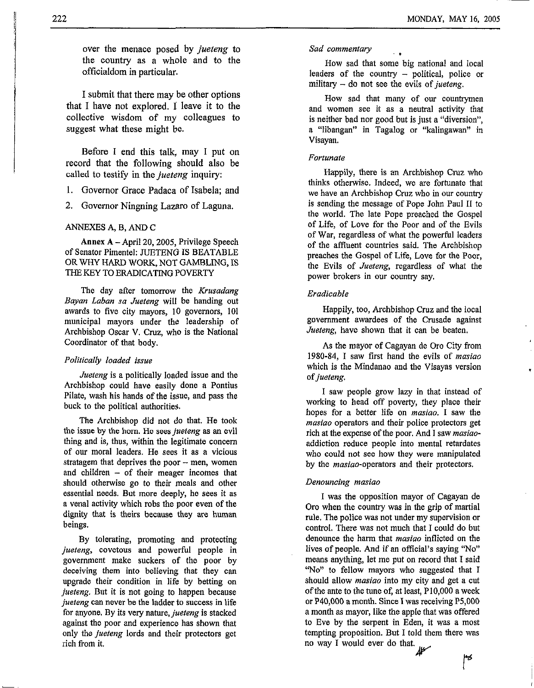over the menace posed by *jueteng* to the country as a whole and to the officialdom in particular.

I submit that there may be other options that I have not explored. I leave it to the collective wisdom of my colleagues to suggest what these might be.

Before **I** end this talk, may I put on record that the following should also be called to testify in the *jueteng* inquiry:

1. Governor Grace Padaca of Isabela; and

2. Governor Ningning Lazaro of Laguna.

#### ANNEXES A, B, AND C

**Annex A** -April 20,2005, Privilege Speech of Senator Pimentel: JUETENG IS BEATABLE OR WHY HARD WORK, NOT GAMBLING, IS THE *KEY* TO ERADICATWG POVERTY

The day after tomorrow the *Krusadang Bayan Laban sa Jueteng* will be handing out awards to five city mayors, 10 governors, 101 municipal mayors under the leadership of Archbishop Oscar V. Cruz, who is the National Coordinator of that body.

#### *Politically loaded issue*

*Juefeng* is a politically loaded issue and the Archbishop could have easily done a Pontius Pilate, wash his hands of the issue, and pass the buck to the political authorities.

The Archbishop did not do that. He took the issue **by** the horn. He sees *juefeng* as an evil thing and is, thus, within the legitimate concern of our moral leaders. He sees it as a vicious stratagem that deprives the poor  $-$  men, women and children - of their meager incomes that should otherwise go *to* their meals and other essential needs. But more deeply, he sees it as a venal activity which robs the poor even of the dignity that is theirs because they are human beings.

By tolerating, promoting and protecting *juefeng,* covetous and powerful people in government make suckers of the poor by deceiving them into believing that they can upgrade their condition in life by betting on *jueteng*. But it is not going to happen because *juefeng* can never be the ladder to success in life for anyone. By its very nature, *jueteng* is stacked against the poor and experience has shown that only the *juefeng* lords and their protectors get rich from it.

#### *Sad commentary* , ,

How sad that some big national and local leaders of the country - political, police or military - do not see the evils of *juefeng.* 

How sad that many of our countrymen and women see it as a neutral activity that is neither bad nor good but is just a "diversion", a "libangan" in Tagalog or "kalingawan" in Visayan.

#### *Fortunate*

Happily, there is an Archbishop Cruz who thinks otherwise. Indeed, we are fortunate that we have an Archbishop Cruz who in our country is sending the message of Pope John Paul I1 to the world. The late Pope preached the Gospel of Life, of Love for the Poor and of the Evils of War, regardless of what the powerful leaders of the affluent countries said. The Archbishop preaches the Gospel of Life, Love for the Poor, the Evils of *Juefeng,* regardless of what the power brokers in our country say.

#### *Eradicable*

Happily, too, Archbishop Cruz and the local government awardees of the Crusade against *Jueteng*, have shown that it can be beaten.

As the mayor of Cagayan de Oro City from 1980-84, I saw first hand the evils of *masiao*  which is the Mindanao and the Visayas version of *jueteng.* 

I saw people grow lazy in that instead of working to head off poverty, they place their hopes for a better life on *masiao.* I saw the *masiao* operators and their police protectors get rich at the expense of the poor. And I saw *masiao*addiction reduce people into mental retardates who could not see how they were manipulated by the masiao-operators and their protectors.

#### *Denouncing masiao*

I was the opposition mayor of Cagayan de Or0 when the country was in the grip of martial rule. The police was not under my supervision or control. There was not much that I could do but denounce the harm that *masiao* inflicted on the lives of people. And if an official's saying "No" means anything, let me put on record that I said "No" *to* fellow mayors who suggested that I should allow *masiao* into my city and get a cut of the ante to the tune **of,** at least, P10,OOO a week or P40,OOO a month. Since **I** was receiving P5,OOO a month as mayor, like the apple that was offered to Eve by the serpent in Eden, it was a most tempting proposition. But I told them there was no way **I** would ever do that.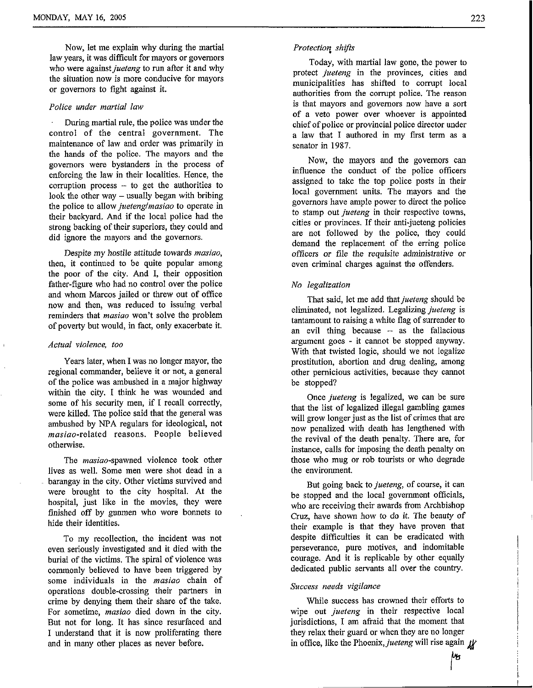Now, let me explain why during the martial law years, it was difficult for mayors or governors who were against *jueteng* to run after it and why the situation now is more conducive for mayors or governors to fight against it.

#### *Police under martial law*

During martial rule, the police was under the control of the central government. The maintenance of law and order was primarily in the hands of the police. The mayors and the governors were bystanders in the process of enforcing the law in their localities. Hence, the corruption process  $-$  to get the authorities to look the other way – usually began with bribing the police to allow *juetenglmasiao* to operate in their backyard. And if the local police had the strong backing of their superiors, they could and did ignore the mayors and the governors.

Despite my hostile attitude towards *masiao,*  then, it continued to be quite popular among the poor of the city. And I, their opposition father-figure who had no control over the police and whom Marcos jailed or threw out of office now and then, was reduced to issuing verbal reminders that *masiao* won't solve the problem of poverty but would, in fact, only exacerbate it.

#### *Actual violence, too*

Years later, when I was no longer mayor, the regional commander, believe it or not, a general of the police was ambushed in a major highway within the city. I think he was wounded and some of his security men, if I recall correctly, were killed. The police said that the general was ambushed by NPA regulars for ideological, not masiao-related reasons. People believed otherwise.

The masiao-spawned violence took other lives as well. Some men were shot dead in a barangay in the city. Other victims survived and were brought to the city hospital. At the hospital, just like in the movies, they were finished off by gunmen who wore bonnets to hide their identities.

To my recollection, the incident was not even seriously investigated and it died with the burial of the victims. The spiral of violence was commonly believed to have been triggered by some individuals in the *masiao* chain of operations double-crossing their partners in crime by denying them their share of the take. For sometime, *masiao* died down in the city. But not for long. It has since resurfaced and I understand that it is now proliferating there and in many other places as never before.

Today, with martial law gone, the power to protect *jueteng* in the provinces, cities and municipalities has shifted to corrupt local authorities from the corrupt police. The reason is that mayors and governors now have a sort of a veto power over whoever is appointed chief of police **or** provincial police director under a law that I authored in my frst term as a senator in 1987.

Now, the mayors and the governors can influence the conduct of the police officers assigned to take the top police posts in their local government units. The mayors and the governors have ample power to direct the police to stamp out *jueteng* in their respective towns, cities or provinces. If their anti-jueteng policies are not followed by the police, they could demand the replacement of the erring police officers or file the requisite administrative or even criminal charges against the offenders.

#### *No legalization*

That said, let me add that *jueteng* should be eliminated, not legalized. Legalizing *jueteng* is tantamount to raising a white flag of surrender to an evil thing because  $-$  as the fallacious argument goes - it cannot be stopped anyway. With that twisted logic, should we not legalize prostitution, abortion and drug dealing, among other pernicious activities, because they cannot be stopped?

Once *jueteng* is legalized, we can be sure that the list of legalized illegal gambling games will grow longer just as the list of crimes that are now penalized with death has lengthened with the revival of the death penalty. There are, for instance, calls for imposing the death penalty on those who mug or rob tourists or who degrade the environment.

But going back to *jueteng,* of course, it can be stopped and the local government officials, who are receiving their awards from Archbishop Cruz, have shown how to do it. The beauty of their example is that they have proven that despite difficulties it can be eradicated with perseverance, pure motives, and indomitable courage. And it is replicable by other equally dedicated public servants all over the country.

#### *Success needs vigilance*

While success has crowned their efforts to wipe out *jueteng* in their respective local jurisdictions, I am afraid that the moment that they relax their guard or when they are no longer in office, like the Phoenix, *jueteng* will rise again  $\mu$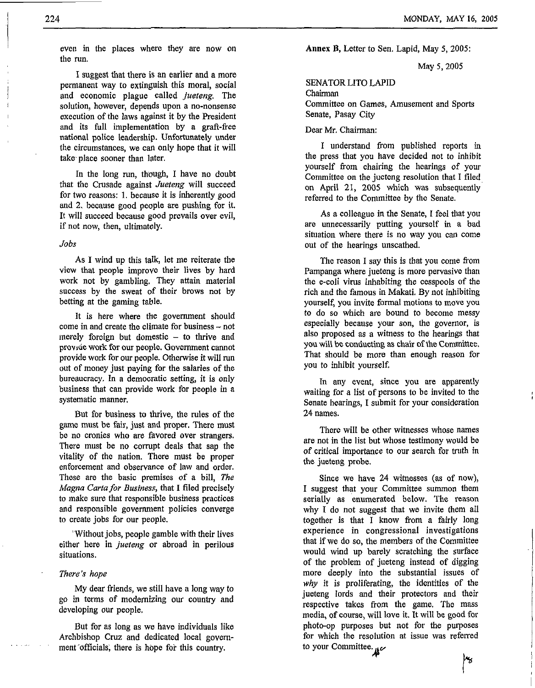i I l

even in the places where they are now on the run.

I suggest that there is an earlier and a more permanent way to extinguish this moral, social and economic plague called *jueteng.* The solution, however, depends upon a no-nonsense execution of the laws against it by the President and its full implementation by a graft-free national police leadership. Unfortunately under the circumstances, we can only hope that it will take place sooner than later.

In the long run, though, I have no doubt that the Crusade against *Jueteng* will succeed for two reasons: 1. because it is inherently good and 2. because good people are pushing for it. It will succeed because good prevails over evil, if not now, then, ultimately.

#### *Jobs*

As **I** wind up this talk, let me reiterate the view that people improve their lives by hard work not by gambling. They attain material success by the sweat of their brows not by betting at the gaming table.

It is here where the government should come in and create the climate for business - not merely foreign but domestic  $-$  to thrive and provide work for our people. Government cannot provide work for our people. Otherwise it will run out of money just paying for the salaries of the bureaucracy. In a democratic setting, it is only business that can provide work for people in a systematic manner.

But for business to thrive, the rules of the game must be fair, just and proper. There must be no cronies who are favored over strangers. There must be no corrupt deals that sap the vitality of the nation. There must be proper enforcement and observance of law and order. These are the basic premises of a bill, *The Magna Carta for Business,* that **I** filed precisely to make sure that responsible business practices and responsible government policies converge to create jobs for our people.

''Without jobs, people gamble with their lives either here in *jueteng* or abroad in perilous situations.

#### *There's hope*

My dear friends, we still have a long way to go in terms of modernizing our country and developing our people.

But for as long as we have individuals like Archbishop Cruz and dedicated local government officials, there is hope for this country.

**Annex** B, Letter to Sen. Lapid, May 5, 2005:

May 5,2005

#### SENATOR LIT0 LAPID

Chairman

Committee on Games, Amusement and Sports Senate, Pasay City

Dear Mr. Chairman:

I understand from published reports in the press that you have decided not to inhibit yourself from chairing the hearings of your Committee on the jueteng resolution that I filed on April 21, 2005 which **was** subsequently referred to the Committee by the Senate.

As a colleague in the Senate, I feel that you are unnecessarily putting yourself in a bad situation where there is no way you can come out of the hearings unscathed.

The reason I say this is that you come from Pampanga where jueteng is more pervasive than the e-coli virus inhabiting the cesspools of the rich and the famous in Makati. By not inhibiting yourself, you invite formal motions to move you to do so which are bound to become messy especially because your son, the governor, is also proposed as a witness to the hearings that **you** will **be** conducting as chair of **the Commiliee.**  That should be more than enough reason for you to inhibit yourself.

In any event, since you are apparently waiting for a list of persons to be invited to the Senate hearings, **I** submit for your consideration **24** names.

There will be other witnesses whose names are not in the list but whose testimony would be of critical importance to our search for truth in the jueteng probe.

Since we have 24 witnesses (as of now), I suggest that your Committee summon them serially **as** 'enumerated below. The reason why **I** do not suggest that we invite them all together is that I know from a fairly long experience in congressional investigations that if we do so, the members of the Committee would wind up barely scratching the surface of the problem of jueteng instead of digging more deeply into the substantial issues of *why* it is proliferating, the identities of the jueteng lords and their protectors and their respective takes from the game. The mass media, of course, will love it. It will be good for photo-op purposes but not for the purposes for which the resolution at issue was referred to your Committee. *At"* 

ļγ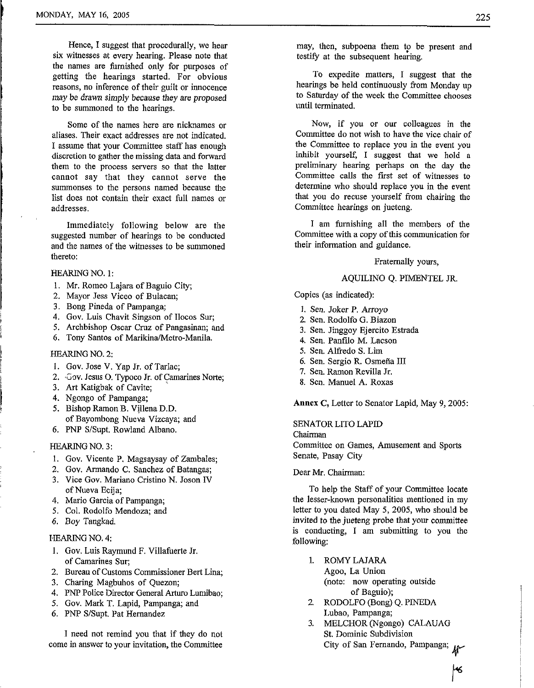Hence, I suggest that procedurally, we hear six witnesses at every hearing. Please note that the names are furnished only for purposes of getting the hearings started. For obvious reasons, no inference of their guilt or innocence may be drawn simply because they are proposed to be summoned to the hearings.

Some of the names here are nicknames or aliases. Their exact addresses are not indicated. I assume that your Committee staff has enough discretion to gather the missing data and forward them to the process servers so that the latter cannot say that they cannot serve the summonses to the persons named because the list does not contain their exact full names or addresses.

Immediately following below are the suggested number of hearings to be conducted and the names of the witnesses to be summoned thereto:

#### HEARING NO. 1:

- 1. **Mr.** Romeo Lajara of Baguio City;
- *2.* Mayor Jess Viceo of Bulacan;
- **3.** Bong Pineda of Pampanga;
- 4. Gov. Luis Chavit Singson of Ilocos Sur;
- *5.* Archbishop Oscar Cruz of Pangasinan; and
- 6. Tony Santos of Marikina/Metro-Manila.

#### HEARlNG NO. *2:*

- 1. Gov. Jose V. Yap Jr. of Tarlac;
- 2. Gov. Jesus O. Typoco Jr. of Camarines Norte;
- **3.** *Art* Katigbak of Cavite;
- 4. Ngongo of Pampanga;
- *5.* Bishop Ramon B. Vjllena D.D. of Bayombong Nueva Vizcaya; and
- 6. PNP S/Supt. Rowland Albano.

#### HEARlNG NO. **3:**

- *1.* Gov. Vicente P. Magsaysay of Zambales;
- *2.* Gov. Armando C. Sanchez of Batangas;
- **3.** Vice Gov. Mariano Cristino N. Joson IV of Nueva Ecija;
- 4. Mario Garcia of Pampanga;
- *5.* Col. Rodolfo Mendoza; and
- 6. Boy Tangkad.

#### HEARING NO. 4:

- 1. Gov. Luis Raymund F. Villafuerte Jr. of Camarines Sur;
- 2. Bureau of Customs Commissioner Bert Lina;
- 3. Charing Magbuhos of Quezon;
- 4. PNP Police Director General *Arturo* Lumibao;
- 5. Gov. Mark T. Lapid, Pampanga; and
- 6. PNP S/Supt. Pat Hernandez

I need not remind you that if they do not come in answer to your invitation, the Committee

may, then, subpoena them to be present and testify at the subsequent hearing.

To expedite matters, I suggest that the hearings be held continuously from Monday up to Saturday of the week the Committee chooses until terminated.

Now, if you or our colleagues in the Committee do not wish to have the vice chair of the Committee to replace you in the event you inhibit yourself, I suggest that we hold a preliminav hearing perhaps on the day the Committee calls the first set of witnesses to determine who should replace you in the event that you do recuse yourself from chairing the Committee hearings on jueteng.

I am furnishing all the members of the Committee with a copy of this communication for their information and guidance.

#### Fraternally yours,

#### AQUILINO Q. PIMENTEL JR.

Copies **(as** indicated):

- **1.** Sen. Joker P. Arroyo
- 2. Sen. Rodolfo G. Biazon
- **3.** Sen. Jinggoy Ejercito Estrada
- 4. Sen. Pantilo M. Lacson
- *5.* Sen. Alfred0 S. Lim
- 6. Sen. Sergio R. Osmeña III
- 7. Sen. Ramon Revilla Jr.
- 8. Sen. Manuel A. Roxas

Annex **C**, Letter to Senator Lapid, May 9, 2005:

#### SENATOR LIT0 LAPID

Chairman Committee on Games, Amusement and Sports Senate, Pasay City

#### Dear **Mr.** Chairman:

To help the Staff of your Committee locate the lesser-known personalities mentioned in my letter to you dated May *5, 2005,* who should be invited to the jueteng probe that your committee is conducting, I am submitting to you the following:

- 1. ROMYLAJARA Agoo, La Union (note: now operating outside
- of Baguio); *2.* RODOLFO (Bong) Q. PMEDA Lubao, Pampanga;
- **3.** MELCHOR (Ngongo) CALAUAG St. Dominic Subdivision City of San Fernando, Pampanga;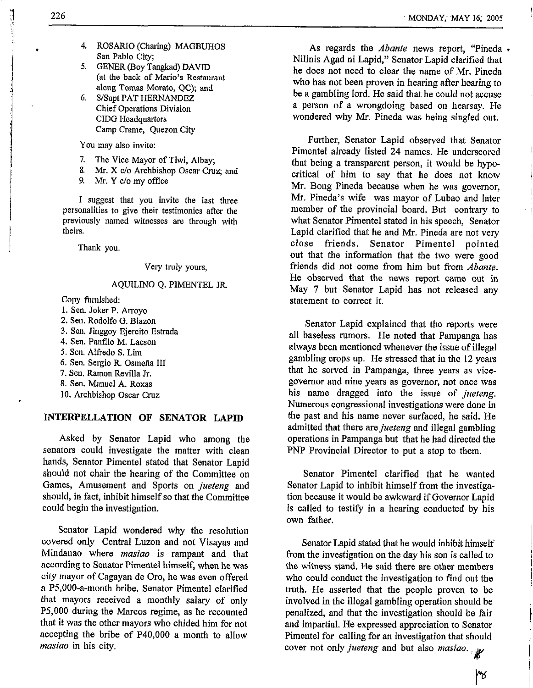- **4.** ROSARIO (Charing) MAGBUHOS San Pablo City;
- 5. GENER (Boy Tangkad) DAVID (at the back of Mario's Restaurant along Tomas Morato, QC); and
- Chief Operations Division CIDG Headquarters Camp Crame, Quezon City 6. S/Supt PAT HERNANDEZ

You may also invite:

- **7.**  The Vice Mayor of Tiwi, Albay;
- **8.**  *Mr.* **X** c/o Archbishop Oscar Cruz; and
- *9.*  **Mi-.** Y c/o my office

I suggest that you invite the last three personalities to give their testimonies after the previously named witnesses are through with theirs.

Thank you.

Very truly yours,

#### AQUILINO Q. PIMENTEL JR.

Copy furnished

1. Sen. Joker P. Arroyo **2.** Sen. Rodolfo G. Biazon **3.** Sen. Jinggoy Ejercito Estrada **4.** Sen. Panfilo M. Lacson 5. Sen. Alfredo S. **Lim**  6. Sen. Sergio R. Osmefla I11 **7.** Sen. Ramon Revilla Jr. 8. Sen. Manuel A. Roxas 10. Archbishop Oscar Cruz

#### **INTERPELLATION OF SENATOR LAPID**

Asked by Senator Lapid who among the senators could investigate the matter with clean hands, Senator Pimentel stated that Senator Lapid should not chair the hearing of the Committee on Games, Amusement and Sports on *jueteng* and should, in fact, inhibit himself so that the Committee could begin the investigation.

Senator Lapid wondered why the resolution covered only Central Luzon and not Visayas and Mindanao where *masiuo* is rampant and that according to Senator Pimentel himself, when he was city mayor of Cagayan de Oro, he was even offered a P5,000-a-month bribe. Senator Pimentel clarified that mayors received a monthly salary of only P5,OOO during the Marcos regime, as he recounted that it was the other mayors who chided him for not accepting the bribe of P40,OOO a month to allow *masiao* in his city.

As regards the *Abunte* news report, "Pineda **<sup>e</sup>** Nilinis Agad ni Lapid," Senator Lapid clarified that he does not need to clear the name of Mr. Pineda who has not been proven in hearing after hearing to be a gambling lord. He said that he could not accuse a person of a wrongdoing based on hearsay. He wondered why Mr. Pineda was being singled out.

Further, Senator Lapid observed that Senator Pimentel already listed 24 names. He underscored that being a transparent person, it would be hypocritical of him to say that **he** does not know Mr. Bong Pineda because when he was governor, Mr. Pineda's wife was mayor of Lubao and later member of the provincial board. But contrary to what Senator Pimentel stated in his speech, Senator Lapid clarified that he and Mr. Pineda are not very close friends. Senator Pimentel pointed out that the information that the two were good friends did not come from him but from *Abante.*  He observed that the news report came out in May 7 but Senator Lapid has not released any statement to correct it.

Senator Lapid explained that the reports were all baseless rumors. He noted that Pampanga has always been mentioned whenever the issue of illegal gambling crops up. **He** stressed that in the **12** years that he served in Pampanga, three years as vicegovernor and nine years as governor, not once was his name dragged into the issue of *jueteng.*  Numerous congressional investigations were done in the past and his name never surfaced, he said. He admitted that there are *jueteng* and illegal gambling operations in Pampanga but that he had directed the PNP Provincial Director to put a stop to them.

Senator Pimentel clarified that he wanted Senator Lapid to inhibit himself from the investigation because it would be awkward if Governor Lapid is called to testify in a hearing conducted by his own father.

Senator Lapid stated that he would inhibit himself from the investigation on the day his son is called to the witness stand. He said there are other members who could conduct the investigation to find out the truth. **He** asserted that the people proven to be involved in the illegal gambling operation should be penalized, and that the investigation should be fair and impartial. He expressed appreciation to Senator Pimentel for calling for an investigation that should cover not only *jueteng* and but also *masiao*.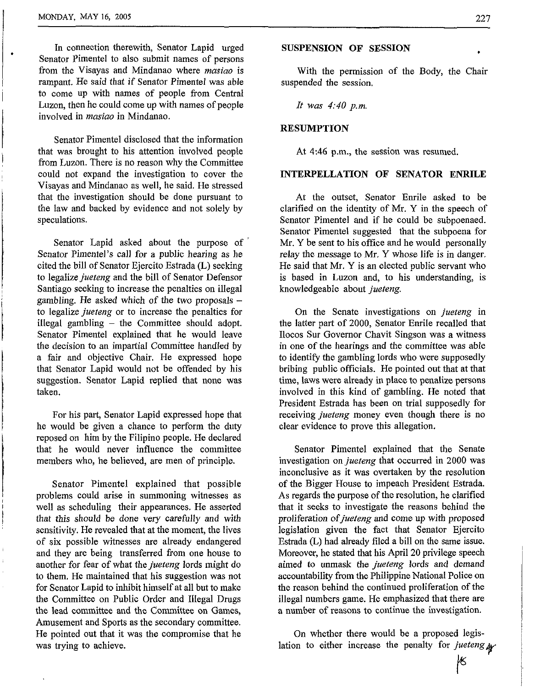In connection therewith, Senator Lapid urged Senator Pimentel to also submit names of persons from the Visayas and Mindanao where *masiao* is rampant. He said that if Senator Pimentel was able to come up with names of people from Central Luzon, then he could come up with names of people involved in *masiao* in Mindanao.

Senator Pimentel disclosed that the information that was brought to his attention involved people from Luzon. There is no reason why the Committee could not expand the investigation to cover the Visayas and Mindanao as well, he said. He stressed that the investigation should be done pursuant to the law and backed by evidence and not solely by speculations.

Senator Lapid asked about the purpose of Senator Pimentel's call for a public hearing as he cited the bill of Senator Ejercito Estrada (L) seeking to legalize jueteng and the bill of Senator Defensor Santiago seeking to increase the penalties on illegal gambling. He asked which of the two proposals  $$ to legalize jueteng or to increase the penalties for illegal gambling  $-$  the Committee should adopt. Senator Pimentel explained that he would leave the decision to an impartial Committee handled by a fair and objective Chair. He expressed hope that Senator Lapid would not be offended by his suggestion. Senator Lapid replied that none was taken.

For his part, Senator Lapid expressed hope that he would be given a chance to perform the duty reposed on him by the Filipino people. He declared that he would never influence the committee members who, he believed, are men of principle.

Senator Pimentel explained that possible problems could arise in summoning witnesses as well as scheduling their appearances. He asserted that this should be done very carefully and with sensitivity. He revealed that at the moment, the lives of six possible witnesses are already endangered and they are being transferred from one house to another for fear of what the jueteng lords might do to them. He maintained that his suggestion was not for Senator Lapid to inhibit himself at all but to make the Committee on Public Order and Illegal Drugs the lead committee and **the** Committee on Games, Amusement and Sports as the secondary committee. He pointed out that it was the compromise that he was trying to achieve.

#### **SUSPENSION OF SESSION**

With the permission of the Body, the Chair suspended the session.

*It was 4:40 p.m.* 

#### **RESUMPTION**

At **4:46** p.m., the session was resumed.

#### **INTERPELLATION OF SENATOR ENRILE**

At the outset, Senator Enrile asked to be clarified on the identity of Mr. Y in the speech of Senator Pimentel and if he could be subpoenaed. Senator Pimentel suggested that the subpoena for Mr. Y be sent to his office and he would personally relay the message to Mr. *Y* whose life is in danger. He said that Mr. *Y* is an elected public servant who is based in Luzon and, to his understanding, is knowledgeable about jueteng.

On the Senate investigations on jueteng in the latter part of 2000, Senator Enrile recalled that Ilocos **Sur** Governor Chavit Singson was a witness in one of the hearings and the committee was able to identify the gambling lords who were supposedly bribing public officials. He pointed out that at that time, laws were already in place to penalize persons involved in this kind of gambling. He noted that President Estrada has been on trial supposedly for receiving *jueteng* money even though there is no clear evidence to prove this allegation.

Senator Pimentel explained that the Senate investigation on jueteng that occurred in 2000 was inconclusive as it was overtaken by the resolution of the Bigger House to impeach President Estrada. As regards the purpose of the resolution, he clarified that it seeks to investigate the reasons behind the proliferation of jueteng and come up with proposed legislation given the fact that Senator Ejercito Estrada (L) had already filed a bill on the same issue. Moreover, he stated that his April 20 privilege speech aimed to unmask the jueteng lords and demand accountability from the Philippine National Police on the reason behind the continued proliferation of the illegal numbers game. He emphasized that there are a number of reasons to continue the investigation.

On whether there would be a proposed legislation to either increase the penalty for jueteng  $\psi$ 

K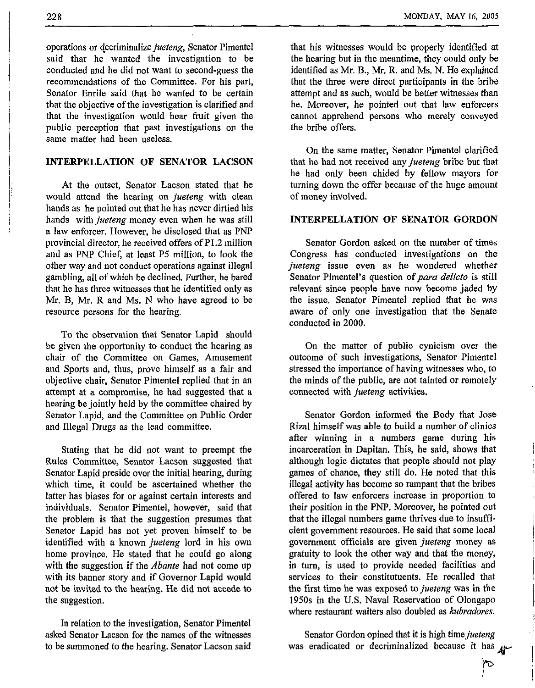operations or decriminalize jueteng, Senator Pimentel said that he wanted the investigation to be conducted and he did not want to second-guess the recommendations **of** the Committee. For his part, Senator Enrile said that he wanted to be certain that the objective of the investigation is clarified and that the investigation would bear fruit given the public perception that past investigations on the same matter had been useless.

### **INTERPELLATION OF SENATOR LACSON**

At the outset, Senator Lacson stated that he would attend the hearing on jueteng with clean hands as he pointed out that he has never dirtied his hands with *jueteng* money even when he was still a law enforcer. However, he disclosed that as PNP provincial director, he received offers of P1.2 million and as PhF Chief, at least P5 million, to **look** the other way and not conduct operations against illegal gambling, all of which be declined. Further, he bared that he has three witnesses that he identified only as Mr. B, Mr. R and Ms. N who have agreed to be resource persons for the hearing.

To the observation that Senator Lapid should be given the opportunity to conduct the hearing as chair of the Committee on Games, Amusement and Sports and, thus, prove himself as a fair and objective chair, Senator Pimentel replied that in an attempt at a compromise, he had suggested that a hearing **be** jointly held by the committee chaired by Senator Lapid, and the Committee on Public Order and Illegal Drugs as the lead committee.

Stating that he did not want to preempt the Rules Committee, Senator Lacson suggested that Senator Lapid preside over the initial hearing, during which time, it could be ascertained whether the latter has biases for or against certain interests and individuals. Senator Pimentel, however, said that the problem is that the suggestion presumes that Senator Lapid has not yet proven himself to be identified with a known *jueteng* lord in his own home province. He stated that he could go along with the suggestion if the *Abante* had not come up with its banner story and if Governor Lapid would not be invited to the hearing. **He** did not accede **to**  the suggestion.

In relation to the investigation, Senator Pimentel asked Senator Lacson for the names of the witnesses to be summoned to the hearing. Senator Lacson said that his witnesses would be properly identified at the hearing but in the meantime, they could only be identified as **Mr.** B., **Mr.** R. and **Ms.** N. **He** explained that the three were direct participants in the bribe attempt and as such, would be better witnesses than he. Moreover, he pointed out that law enforcers cannot apprehend persons who merely conveyed the bribe offers.

On the same matter, Senator Pimentel clarified that he had not received any jueteng bribe but that he had only been chided by fellow mayors for turning down the offer because of the huge amount of money involved.

#### **INTERPELLATION OF SENATOR GORDON**

Senator Gordon asked on the number of times Congress has conducted investigations on the jueteng issue even as he wondered whether Senator Pimentel's question of *para delicto* is still relevant since people have now become jaded by the issue. Senator Pimentel replied that he was aware of only one investigation that the Senate conducted in 2000.

On the matter **of** public cynicism over the outcome of such investigations, Senator Pimentel stressed the importance of having witnesses who, to the minds of the public, are not tainted or remotely connected with *jueteng* activities.

Senator Gordon informed the Body that Jose Rizal himself was able to build a number of clinics after winning in a numbers game during his incarceration in Dapitan. This, he said, shows that although logic dictates that people should not play games of chance, they still do. He noted that this illegal activity has become so rampant that the bribes offered to law enforcers increase in proportion to their position in the PNP. Moreover, he pointed out that the illegal numbers game thrives due to insufficient government resources. He said that some local government officials are given jueteng money as gratuity to look the other way and that the money, in turn, is used to provide needed facilities and services to their constitutuents. He recalled that the first time he was exposed to jueteng was in **the**  1950s in the **U.S.** Naval Reservation of Olongapo where restaurant waiters also doubled as *kubradores*.

Senator Gordon opined that it is high time jueteng was eradicated or decriminalized because it has *4-* 

rd